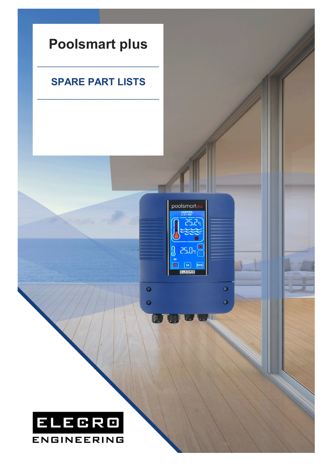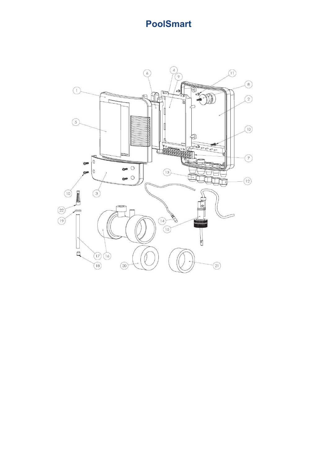## **PoolSmart**

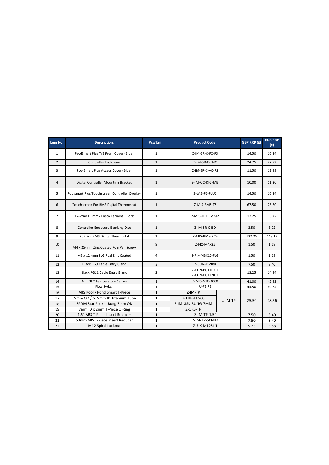| Item No.:      | <b>Description:</b>                           | Pcs/Unit:      | <b>Product Code:</b>           |         | GBP RRP (£) | <b>EUR RRP</b><br>$(\epsilon)$ |
|----------------|-----------------------------------------------|----------------|--------------------------------|---------|-------------|--------------------------------|
| $\mathbf{1}$   | PoolSmart Plus T/S Front Cover (Blue)         | $\mathbf{1}$   | Z-IM-SR-C-FC-PS                |         | 14.50       | 16.24                          |
| $\overline{2}$ | <b>Controller Enclosure</b>                   | $\mathbf{1}$   | Z-IM-SR-C-ENC                  |         | 24.75       | 27.72                          |
| 3              | PoolSmart Plus Access Cover (Blue)            | $\mathbf{1}$   | Z-IM-SR-C-AC-PS                |         | 11.50       | 12.88                          |
| 4              | Digital Controller Mounting Bracket           | $\mathbf{1}$   | Z-IM-OC-DIG-MB                 |         | 10.00       | 11.20                          |
| 5              | Poolsmart Plus Touchscreen Controller Overlay | $\mathbf{1}$   | Z-LAB-PS-PLUS                  |         | 14.50       | 16.24                          |
| 6              | Touchscreen For BMS Digital Thermostat        | $\mathbf{1}$   | Z-MIS-BMS-TS                   |         | 67.50       | 75.60                          |
| $\overline{7}$ | 12-Way 1.5mm2 Ensto Terminal Block            | $\mathbf{1}$   | Z-MIS-TB1.5MM2                 |         | 12.25       | 13.72                          |
| 8              | <b>Controller Enclosure Blanking Disc</b>     | $\mathbf{1}$   | Z-IM-SR-C-BD                   |         | 3.50        | 3.92                           |
| 9              | PCB For BMS Digital Thermostat                | $\mathbf{1}$   | Z-MIS-BMS-PCB                  |         | 132.25      | 148.12                         |
| 10             | M4 x 25-mm Zinc Coated Pozi Pan Screw         | 8              | Z-FIX-M4X25                    |         | 1.50        | 1.68                           |
| 11             | M3 x 12 -mm FLG Pozi Zinc Coated              | 4              | Z-FIX-M3X12-FLG                |         | 1.50        | 1.68                           |
| 12             | Black PG9 Cable Entry Gland                   | $\overline{3}$ | Z-CON-PG9BK                    |         | 7.50        | 8.40                           |
| 13             | Black PG11 Cable Entry Gland                  | $\overline{2}$ | Z-CON-PG11BK+<br>Z-CON-PG11NUT |         | 13.25       | 14.84                          |
| 14             | 3-m NTC Temperature Sensor                    | $\mathbf 1$    | Z-MIS-NTC-3000                 |         | 41.00       | 45.92                          |
| 15             | Flow Switch                                   | $\mathbf{1}$   | U-FS-PS                        |         | 44.50       | 49.84                          |
| 16             | ABS Pool / Pond Smart T-Piece                 | $\mathbf{1}$   | Z-IM-TP                        | U-IM-TP | 25.50       | 28.56                          |
| 17             | 7-mm OD / 6.2-mm ID Titanium Tube             | $\mathbf{1}$   | Z-TUB-TI7-60                   |         |             |                                |
| 18             | EPDM Stat Pocket Bung 7mm OD                  | $\mathbf{1}$   | Z-IM-GSK-BUNG-7MM              |         |             |                                |
| 19             | 7mm ID x 2mm T-Piece O-Ring                   | $\mathbf 1$    | Z-ORS-TP                       |         |             |                                |
| 20             | 1.5" ABS T-Piece Insert Reducer               | $\mathbf{1}$   | Z-IM-TP-1.5"                   |         | 7.50        | 8.40                           |
| 21             | 50mm ABS T-Piece Insert Reducer               | $\mathbf{1}$   | Z-IM-TP-50MM                   |         | 7.50        | 8.40                           |
| 22             | M12 Spiral Locknut                            | $\mathbf{1}$   | Z-FIX-M12SLN                   |         | 5.25        | 5.88                           |